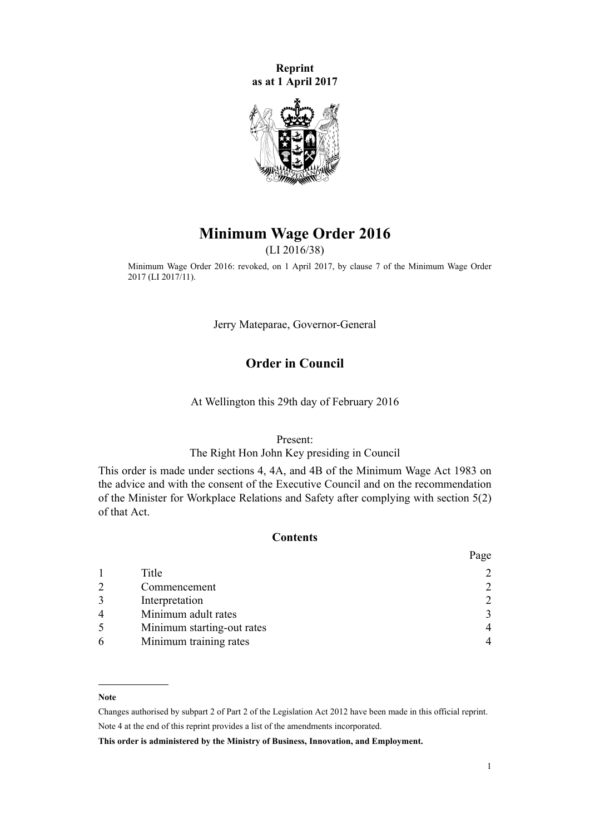**Reprint as at 1 April 2017**



# **Minimum Wage Order 2016**

(LI 2016/38)

Minimum Wage Order 2016: revoked, on 1 April 2017, by [clause 7](http://prd-lgnz-nlb.prd.pco.net.nz/pdflink.aspx?id=DLM7094706) of the Minimum Wage Order 2017 (LI 2017/11).

Jerry Mateparae, Governor-General

## **Order in Council**

At Wellington this 29th day of February 2016

Present:

#### The Right Hon John Key presiding in Council

This order is made under [sections 4,](http://prd-lgnz-nlb.prd.pco.net.nz/pdflink.aspx?id=DLM74414) [4A](http://prd-lgnz-nlb.prd.pco.net.nz/pdflink.aspx?id=DLM5174301), and [4B](http://prd-lgnz-nlb.prd.pco.net.nz/pdflink.aspx?id=DLM5174309) of the Minimum Wage Act 1983 on the advice and with the consent of the Executive Council and on the recommendation of the Minister for Workplace Relations and Safety after complying with [section 5\(2\)](http://prd-lgnz-nlb.prd.pco.net.nz/pdflink.aspx?id=DLM74416) of that Act.

## **Contents**

|                |                            | Page |
|----------------|----------------------------|------|
|                | Title                      |      |
| $\overline{2}$ | Commencement               | 2    |
| 3              | Interpretation             | 2    |
| $\overline{4}$ | Minimum adult rates        | 3    |
|                | Minimum starting-out rates | 4    |
| 6              | Minimum training rates     |      |

#### **Note**

Changes authorised by [subpart 2](http://prd-lgnz-nlb.prd.pco.net.nz/pdflink.aspx?id=DLM2998524) of Part 2 of the Legislation Act 2012 have been made in this official reprint. Note 4 at the end of this reprint provides a list of the amendments incorporated.

**This order is administered by the Ministry of Business, Innovation, and Employment.**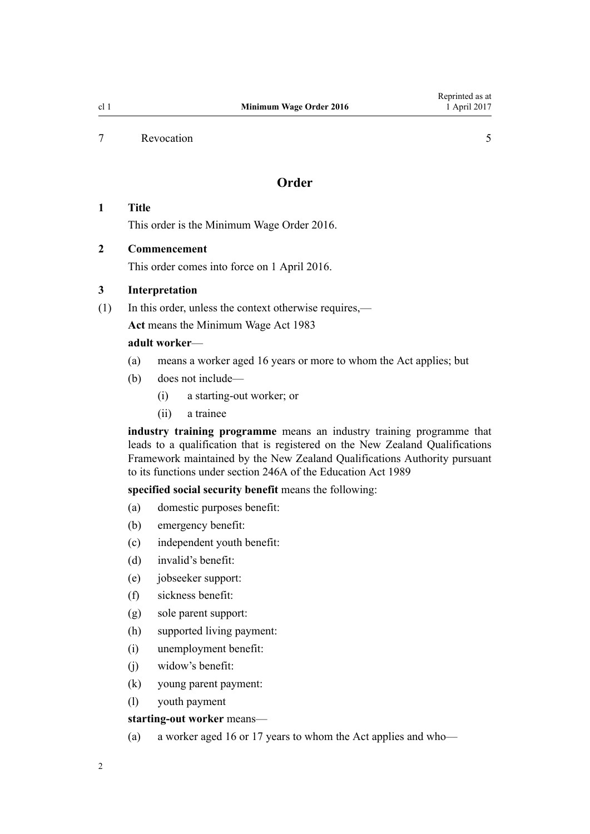#### <span id="page-1-0"></span>[7](#page-4-0) [Revocation](#page-4-0) [5](#page-4-0)

## **Order**

## **1 Title**

This order is the Minimum Wage Order 2016.

## **2 Commencement**

This order comes into force on 1 April 2016.

#### **3 Interpretation**

(1) In this order, unless the context otherwise requires,—

**Act** means the [Minimum Wage Act 1983](http://prd-lgnz-nlb.prd.pco.net.nz/pdflink.aspx?id=DLM74092)

## **adult worker**—

- (a) means a worker aged 16 years or more to whom the Act applies; but
- (b) does not include—
	- (i) a starting-out worker; or
	- (ii) a trainee

**industry training programme** means an industry training programme that leads to a qualification that is registered on the New Zealand Qualifications Framework maintained by the New Zealand Qualifications Authority pursuant to its functions under [section 246A](http://prd-lgnz-nlb.prd.pco.net.nz/pdflink.aspx?id=DLM3983165) of the Education Act 1989

### **specified social security benefit** means the following:

- (a) domestic purposes benefit:
- (b) emergency benefit:
- (c) independent youth benefit:
- (d) invalid's benefit:
- (e) jobseeker support:
- (f) sickness benefit:
- (g) sole parent support:
- (h) supported living payment:
- (i) unemployment benefit:
- (j) widow's benefit:
- (k) young parent payment:
- (l) youth payment

#### **starting-out worker** means—

(a) a worker aged 16 or 17 years to whom the Act applies and who—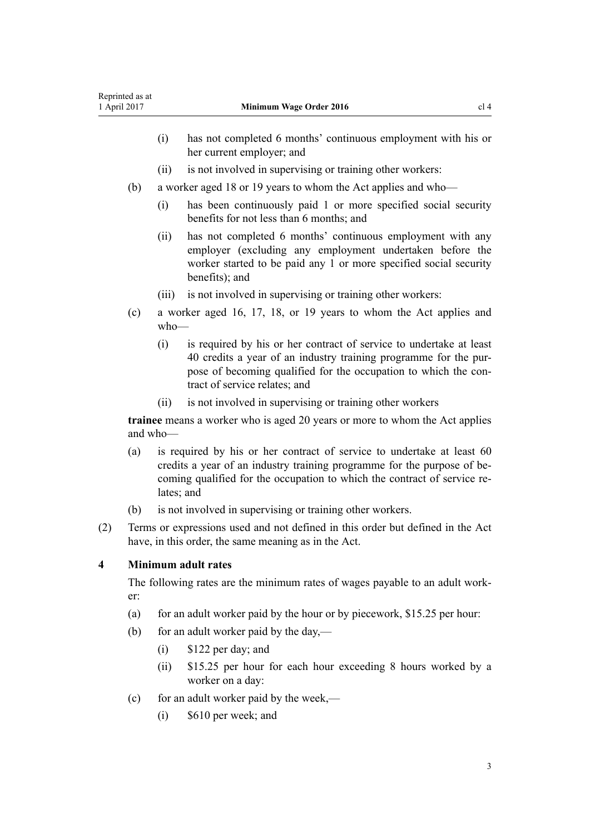- 
- <span id="page-2-0"></span>(i) has not completed 6 months' continuous employment with his or her current employer; and
- (ii) is not involved in supervising or training other workers:
- (b) a worker aged 18 or 19 years to whom the Act applies and who—
	- (i) has been continuously paid 1 or more specified social security benefits for not less than 6 months; and
	- (ii) has not completed 6 months' continuous employment with any employer (excluding any employment undertaken before the worker started to be paid any 1 or more specified social security benefits); and
	- (iii) is not involved in supervising or training other workers:
- (c) a worker aged 16, 17, 18, or 19 years to whom the Act applies and who—
	- (i) is required by his or her contract of service to undertake at least 40 credits a year of an industry training programme for the purpose of becoming qualified for the occupation to which the contract of service relates; and
	- (ii) is not involved in supervising or training other workers

**trainee** means a worker who is aged 20 years or more to whom the Act applies and who—

- (a) is required by his or her contract of service to undertake at least 60 credits a year of an industry training programme for the purpose of becoming qualified for the occupation to which the contract of service relates; and
- (b) is not involved in supervising or training other workers.
- (2) Terms or expressions used and not defined in this order but defined in the Act have, in this order, the same meaning as in the Act.

## **4 Minimum adult rates**

The following rates are the minimum rates of wages payable to an adult worker:

- (a) for an adult worker paid by the hour or by piecework,  $$15.25$  per hour:
- (b) for an adult worker paid by the day,—
	- (i) \$122 per day; and
	- (ii) \$15.25 per hour for each hour exceeding 8 hours worked by a worker on a day:
- (c) for an adult worker paid by the week,—
	- (i) \$610 per week; and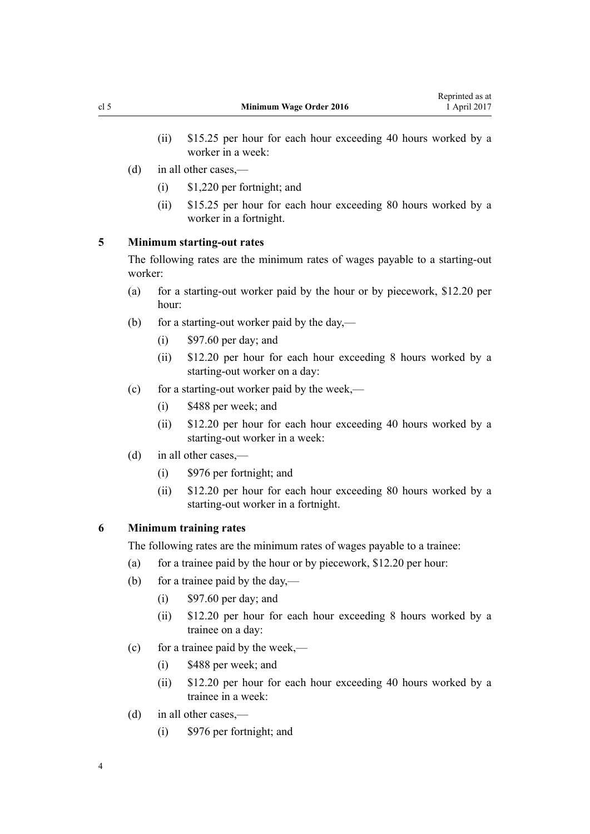- <span id="page-3-0"></span>(ii) \$15.25 per hour for each hour exceeding 40 hours worked by a worker in a week:
- (d) in all other cases,—
	- (i) \$1,220 per fortnight; and
	- (ii) \$15.25 per hour for each hour exceeding 80 hours worked by a worker in a fortnight.

#### **5 Minimum starting-out rates**

The following rates are the minimum rates of wages payable to a starting-out worker:

- (a) for a starting-out worker paid by the hour or by piecework, \$12.20 per hour:
- (b) for a starting-out worker paid by the day,—
	- $(i)$  \$97.60 per day; and
	- (ii) \$12.20 per hour for each hour exceeding 8 hours worked by a starting-out worker on a day:
- (c) for a starting-out worker paid by the week,—
	- (i) \$488 per week; and
	- (ii) \$12.20 per hour for each hour exceeding 40 hours worked by a starting-out worker in a week:
- (d) in all other cases,—
	- (i) \$976 per fortnight; and
	- (ii) \$12.20 per hour for each hour exceeding 80 hours worked by a starting-out worker in a fortnight.

## **6 Minimum training rates**

The following rates are the minimum rates of wages payable to a trainee:

- (a) for a trainee paid by the hour or by piecework,  $$12.20$  per hour:
- (b) for a trainee paid by the day,—
	- $(i)$  \$97.60 per day; and
	- (ii) \$12.20 per hour for each hour exceeding 8 hours worked by a trainee on a day:
- (c) for a trainee paid by the week,—
	- (i) \$488 per week; and
	- (ii) \$12.20 per hour for each hour exceeding 40 hours worked by a trainee in a week:
- (d) in all other cases,—
	- (i) \$976 per fortnight; and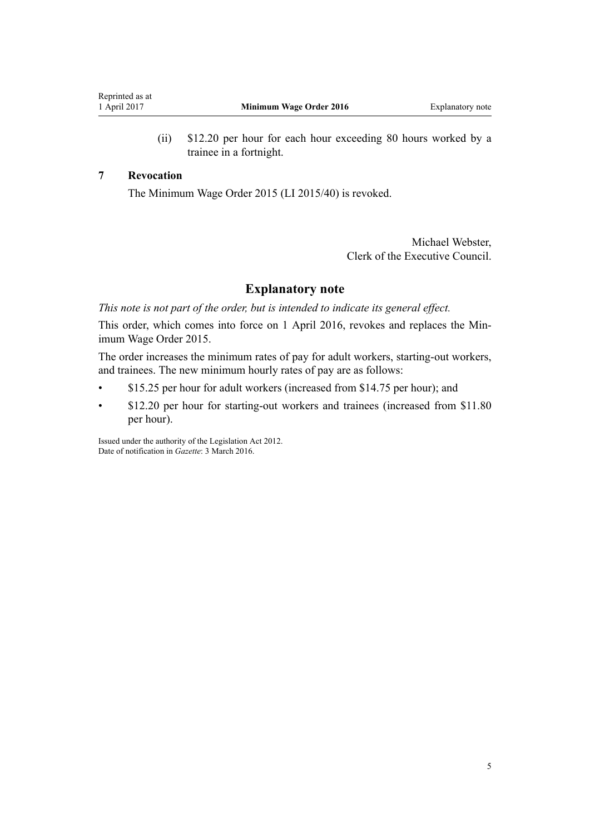(ii) \$12.20 per hour for each hour exceeding 80 hours worked by a trainee in a fortnight.

#### <span id="page-4-0"></span>**7 Revocation**

The [Minimum Wage Order 2015](http://prd-lgnz-nlb.prd.pco.net.nz/pdflink.aspx?id=DLM6383700) (LI 2015/40) is revoked.

Michael Webster, Clerk of the Executive Council.

## **Explanatory note**

*This note is not part of the order, but is intended to indicate its general effect.*

This order, which comes into force on 1 April 2016, revokes and replaces the [Min](http://prd-lgnz-nlb.prd.pco.net.nz/pdflink.aspx?id=DLM6383700)[imum Wage Order 2015](http://prd-lgnz-nlb.prd.pco.net.nz/pdflink.aspx?id=DLM6383700).

The order increases the minimum rates of pay for adult workers, starting-out workers, and trainees. The new minimum hourly rates of pay are as follows:

- \$15.25 per hour for adult workers (increased from \$14.75 per hour); and
- \$12.20 per hour for starting-out workers and trainees (increased from \$11.80 per hour).

Issued under the authority of the [Legislation Act 2012](http://prd-lgnz-nlb.prd.pco.net.nz/pdflink.aspx?id=DLM2997643). Date of notification in *Gazette*: 3 March 2016.